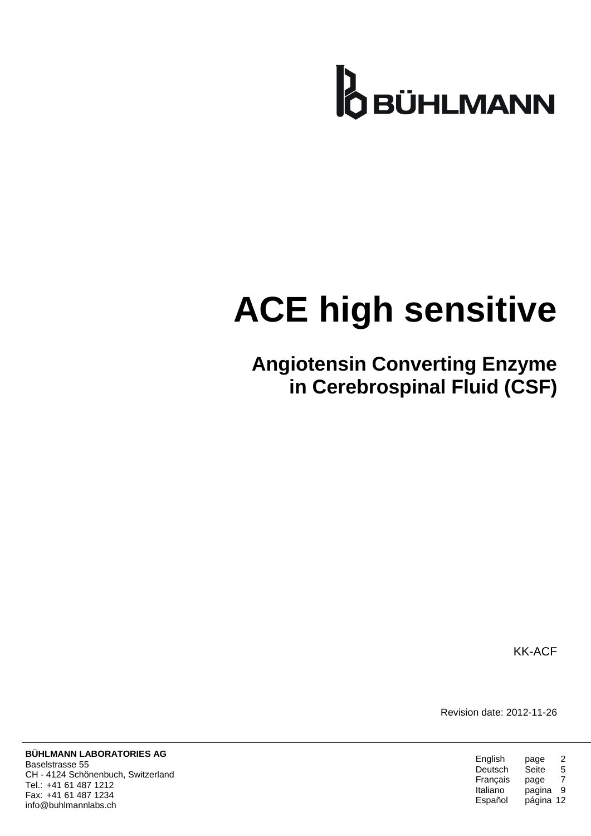

# **ACE high sensitive**

**Angiotensin Converting Enzyme in Cerebrospinal Fluid (CSF)**

KK-ACF

Revision date: 2012-11-26

| English  | page      | 2 |
|----------|-----------|---|
| Deutsch  | Seite     | 5 |
| Français | page      | 7 |
| Italiano | pagina    | 9 |
| Español  | página 12 |   |

**BÜHLMANN LABORATORIES AG** Baselstrasse 55 CH - 4124 Schönenbuch, Switzerland Tel.: +41 61 487 1212 Fax: +41 61 487 1234 info@buhlmannlabs.ch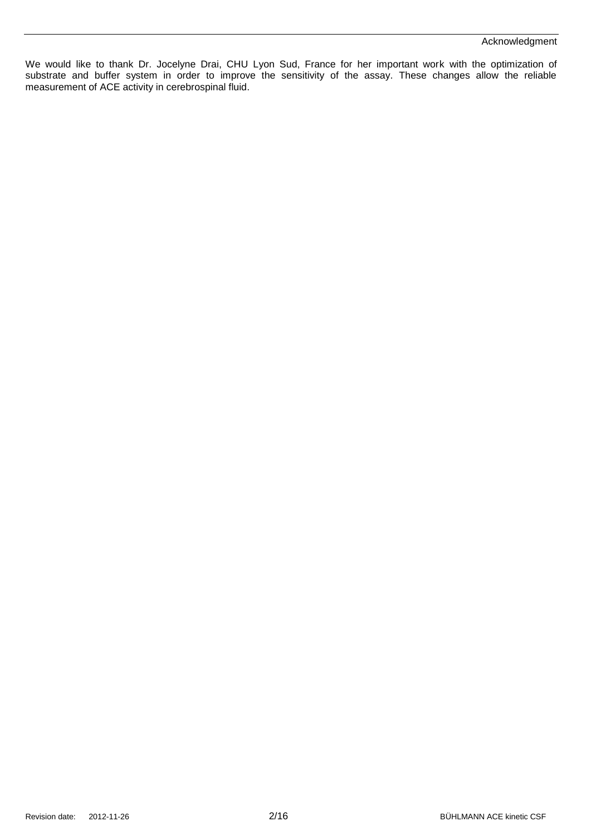#### Acknowledgment

We would like to thank Dr. Jocelyne Drai, CHU Lyon Sud, France for her important work with the optimization of substrate and buffer system in order to improve the sensitivity of the assay. These changes allow the reliable measurement of ACE activity in cerebrospinal fluid.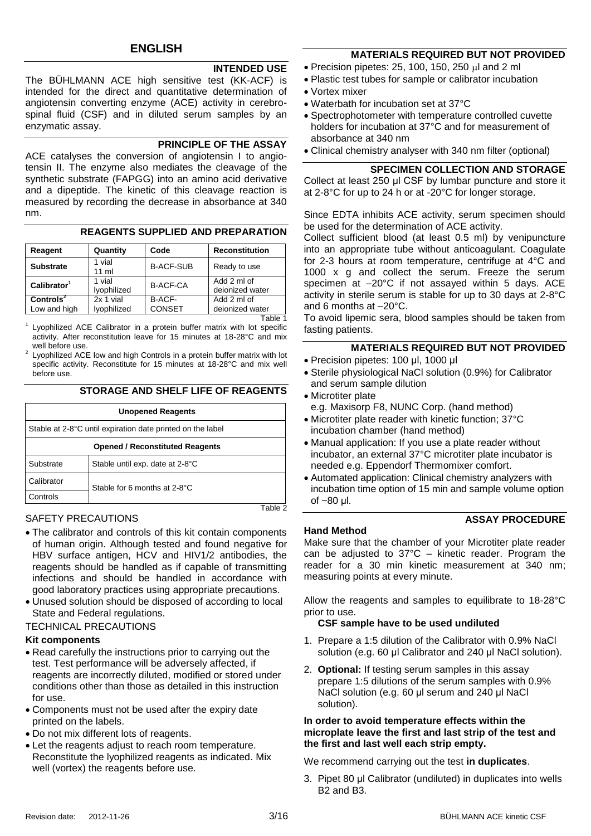# **INTENDED USE**

The BÜHLMANN ACE high sensitive test (KK-ACF) is intended for the direct and quantitative determination of angiotensin converting enzyme (ACE) activity in cerebrospinal fluid (CSF) and in diluted serum samples by an enzymatic assay.

#### **PRINCIPLE OF THE ASSAY**

ACE catalyses the conversion of angiotensin I to angiotensin II. The enzyme also mediates the cleavage of the synthetic substrate (FAPGG) into an amino acid derivative and a dipeptide. The kinetic of this cleavage reaction is measured by recording the decrease in absorbance at 340 nm.

## **REAGENTS SUPPLIED AND PREPARATION**

| Reagent                  | Quantity              | Code             | <b>Reconstitution</b>          |
|--------------------------|-----------------------|------------------|--------------------------------|
| <b>Substrate</b>         | 1 vial<br>$11$ ml     | <b>B-ACF-SUB</b> | Ready to use                   |
| Calibration <sup>1</sup> | 1 vial<br>lyophilized | <b>B-ACF-CA</b>  | Add 2 ml of<br>deionized water |
| Controls <sup>2</sup>    | 2x 1 vial             | B-ACF-           | Add 2 ml of                    |
| Low and high             | lyophilized           | <b>CONSET</b>    | deionized water                |
|                          |                       |                  |                                |

<sup>1</sup> Lyophilized ACE Calibrator in a protein buffer matrix with lot specific activity. After reconstitution leave for 15 minutes at 18-28°C and mix well before use.

 $2$  Lyophilized ACE low and high Controls in a protein buffer matrix with lot specific activity. Reconstitute for 15 minutes at 18-28°C and mix well before use.

## **STORAGE AND SHELF LIFE OF REAGENTS**

| <b>Unopened Reagents</b>                                   |                                 |  |
|------------------------------------------------------------|---------------------------------|--|
| Stable at 2-8°C until expiration date printed on the label |                                 |  |
| <b>Opened / Reconstituted Reagents</b>                     |                                 |  |
| Substrate                                                  | Stable until exp. date at 2-8°C |  |
| Calibrator                                                 | Stable for 6 months at 2-8°C    |  |
| Controls                                                   |                                 |  |
|                                                            | Tah                             |  |

# SAFETY PRECAUTIONS

- The calibrator and controls of this kit contain components of human origin. Although tested and found negative for HBV surface antigen, HCV and HIV1/2 antibodies, the reagents should be handled as if capable of transmitting infections and should be handled in accordance with good laboratory practices using appropriate precautions.
- Unused solution should be disposed of according to local State and Federal regulations.
- TECHNICAL PRECAUTIONS

# **Kit components**

- Read carefully the instructions prior to carrying out the test. Test performance will be adversely affected, if reagents are incorrectly diluted, modified or stored under conditions other than those as detailed in this instruction for use.
- Components must not be used after the expiry date printed on the labels.
- Do not mix different lots of reagents.
- Let the reagents adjust to reach room temperature. Reconstitute the lyophilized reagents as indicated. Mix well (vortex) the reagents before use.

# **MATERIALS REQUIRED BUT NOT PROVIDED**

- $\bullet$  Precision pipetes: 25, 100, 150, 250  $\mu$ l and 2 ml
- Plastic test tubes for sample or calibrator incubation
- Vortex mixer
- Waterbath for incubation set at 37°C
- Spectrophotometer with temperature controlled cuvette holders for incubation at 37°C and for measurement of absorbance at 340 nm
- Clinical chemistry analyser with 340 nm filter (optional)

## **SPECIMEN COLLECTION AND STORAGE**

Collect at least 250 μl CSF by lumbar puncture and store it at 2-8°C for up to 24 h or at -20°C for longer storage.

Since EDTA inhibits ACE activity, serum specimen should be used for the determination of ACE activity.

Collect sufficient blood (at least 0.5 ml) by venipuncture into an appropriate tube without anticoagulant. Coagulate for 2-3 hours at room temperature, centrifuge at 4°C and 1000 x g and collect the serum. Freeze the serum specimen at –20°C if not assayed within 5 days. ACE activity in sterile serum is stable for up to 30 days at 2-8°C and 6 months at –20°C.

To avoid lipemic sera, blood samples should be taken from fasting patients.

# **MATERIALS REQUIRED BUT NOT PROVIDED**

- Precision pipetes: 100 μl, 1000 μl
- Sterile physiological NaCl solution (0.9%) for Calibrator and serum sample dilution
- Microtiter plate

e.g. Maxisorp F8, NUNC Corp. (hand method)

- Microtiter plate reader with kinetic function; 37°C incubation chamber (hand method)
- Manual application: If you use a plate reader without incubator, an external 37°C microtiter plate incubator is needed e.g. Eppendorf Thermomixer comfort.
- Automated application: Clinical chemistry analyzers with incubation time option of 15 min and sample volume option of ~80 μl.

# **ASSAY PROCEDURE**

# **Hand Method**

Make sure that the chamber of your Microtiter plate reader can be adjusted to 37°C – kinetic reader. Program the reader for a 30 min kinetic measurement at 340 nm; measuring points at every minute.

Allow the reagents and samples to equilibrate to 18-28°C prior to use.

# **CSF sample have to be used undiluted**

- 1. Prepare a 1:5 dilution of the Calibrator with 0.9% NaCl solution (e.g. 60 μl Calibrator and 240 μl NaCl solution).
- 2. **Optional:** If testing serum samples in this assay prepare 1:5 dilutions of the serum samples with 0.9% NaCl solution (e.g. 60 μl serum and 240 μl NaCl solution).

#### **In order to avoid temperature effects within the microplate leave the first and last strip of the test and the first and last well each strip empty.**

We recommend carrying out the test **in duplicates**.

3. Pipet 80 μl Calibrator (undiluted) in duplicates into wells B2 and B3.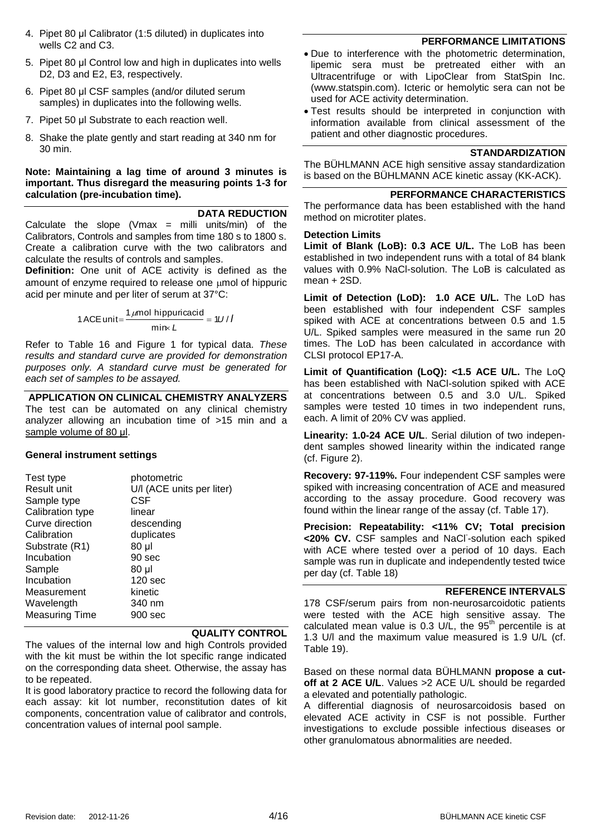- 4. Pipet 80 μl Calibrator (1:5 diluted) in duplicates into wells C2 and C3.
- 5. Pipet 80 μl Control low and high in duplicates into wells D<sub>2</sub>, D<sub>3</sub> and E<sub>2</sub>, E<sub>3</sub>, respectively.
- 6. Pipet 80 μl CSF samples (and/or diluted serum samples) in duplicates into the following wells.
- 7. Pipet 50 μl Substrate to each reaction well.
- 8. Shake the plate gently and start reading at 340 nm for 30 min.

## **Note: Maintaining a lag time of around 3 minutes is important. Thus disregard the measuring points 1-3 for calculation (pre-incubation time).**

#### **DATA REDUCTION**

Calculate the slope (Vmax  $=$  milli units/min) of the Calibrators, Controls and samples from time 180 s to 1800 s. Create a calibration curve with the two calibrators and calculate the results of controls and samples.

**Definition:** One unit of ACE activity is defined as the amount of enzyme required to release one  $\mu$ mol of hippuric acid per minute and per liter of serum at 37°C:

1 ACE unit=
$$
\frac{1 \mu mol \text{ hippuricacid}}{\text{min} \kappa L} = 1U/I
$$

Refer to [Table 16](#page-14-0) and [Figure 1](#page-14-1) for typical data. *These results and standard curve are provided for demonstration purposes only. A standard curve must be generated for each set of samples to be assayed.*

**APPLICATION ON CLINICAL CHEMISTRY ANALYZERS** The test can be automated on any clinical chemistry analyzer allowing an incubation time of >15 min and a sample volume of 80 μl.

#### **General instrument settings**

| photometric               |
|---------------------------|
| U/I (ACE units per liter) |
| CSF                       |
| linear                    |
| descending                |
| duplicates                |
| 80 µl                     |
| 90 sec                    |
| 80 µl                     |
| 120 <sub>sec</sub>        |
| kinetic                   |
| 340 nm                    |
| 900 sec                   |
|                           |

#### **QUALITY CONTROL**

The values of the internal low and high Controls provided with the kit must be within the lot specific range indicated on the corresponding data sheet. Otherwise, the assay has to be repeated.

It is good laboratory practice to record the following data for each assay: kit lot number, reconstitution dates of kit components, concentration value of calibrator and controls, concentration values of internal pool sample.

## **PERFORMANCE LIMITATIONS**

- Due to interference with the photometric determination, lipemic sera must be pretreated either with an Ultracentrifuge or with LipoClear from StatSpin Inc. (www.statspin.com). Icteric or hemolytic sera can not be used for ACE activity determination.
- Test results should be interpreted in conjunction with information available from clinical assessment of the patient and other diagnostic procedures.

#### **STANDARDIZATION**

The BÜHLMANN ACE high sensitive assay standardization is based on the BÜHLMANN ACE kinetic assay (KK-ACK).

# **PERFORMANCE CHARACTERISTICS**

The performance data has been established with the hand method on microtiter plates.

#### **Detection Limits**

Limit of Blank (LoB): 0.3 ACE U/L. The LoB has been established in two independent runs with a total of 84 blank values with 0.9% NaCl-solution. The LoB is calculated as mean + 2SD.

**Limit of Detection (LoD): 1.0 ACE U/L.** The LoD has been established with four independent CSF samples spiked with ACE at concentrations between 0.5 and 1.5 U/L. Spiked samples were measured in the same run 20 times. The LoD has been calculated in accordance with CLSI protocol EP17-A.

**Limit of Quantification (LoQ): <1.5 ACE U/L.** The LoQ has been established with NaCl-solution spiked with ACE at concentrations between 0.5 and 3.0 U/L. Spiked samples were tested 10 times in two independent runs, each. A limit of 20% CV was applied.

**Linearity: 1.0-24 ACE U/L**. Serial dilution of two independent samples showed linearity within the indicated range (cf. [Figure 2\)](#page-14-2).

**Recovery: 97-119%.** Four independent CSF samples were spiked with increasing concentration of ACE and measured according to the assay procedure. Good recovery was found within the linear range of the assay (cf. [Table 17\)](#page-14-3).

**Precision: Repeatability: <11% CV; Total precision**  <20% CV. CSF samples and NaCl-solution each spiked with ACE where tested over a period of 10 days. Each sample was run in duplicate and independently tested twice per day (cf. [Table 18\)](#page-14-4)

# **REFERENCE INTERVALS**

178 CSF/serum pairs from non-neurosarcoidotic patients were tested with the ACE high sensitive assay. The calculated mean value is  $0.3$  U/L, the  $95<sup>th</sup>$  percentile is at 1.3 U/l and the maximum value measured is 1.9 U/L (cf. [Table 19\)](#page-14-5).

Based on these normal data BÜHLMANN **propose a cutoff at 2 ACE U/L**. Values >2 ACE U/L should be regarded a elevated and potentially pathologic.

A differential diagnosis of neurosarcoidosis based on elevated ACE activity in CSF is not possible. Further investigations to exclude possible infectious diseases or other granulomatous abnormalities are needed.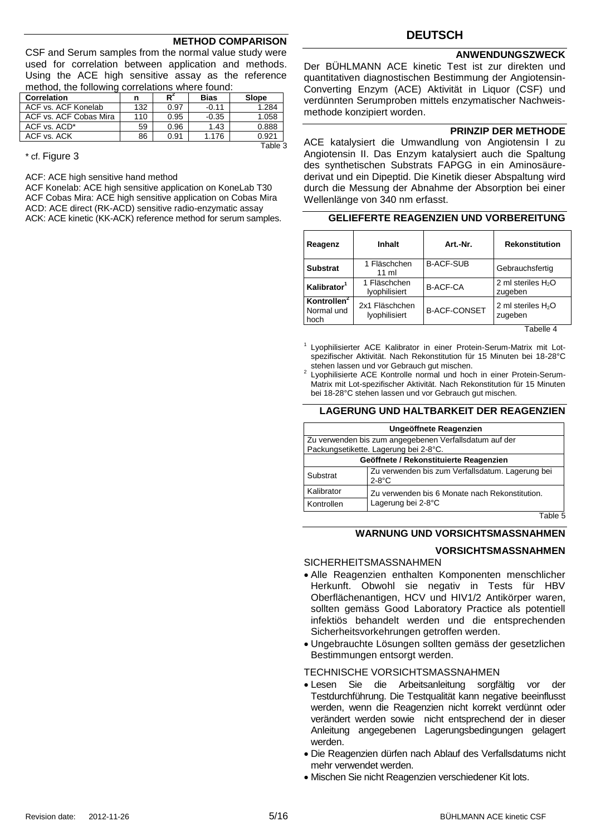#### **METHOD COMPARISON**

CSF and Serum samples from the normal value study were used for correlation between application and methods. Using the ACE high sensitive assay as the reference method, the following correlations where found:

| <b>Correlation</b>     | n   | R    | <b>Bias</b> | Slope   |
|------------------------|-----|------|-------------|---------|
| ACF vs. ACF Konelab    | 132 | 0.97 | $-0.11$     | 1.284   |
| ACF vs. ACF Cobas Mira | 110 | 0.95 | $-0.35$     | 1.058   |
| ACF vs. ACD*           | 59  | 0.96 | 1.43        | 0.888   |
| ACF vs. ACK            | 86  | 0.91 | 1.176       | 0.921   |
|                        |     |      |             | Table 3 |

\* cf. [Figure 3](#page-14-6)

ACF: ACE high sensitive hand method

ACF Konelab: ACE high sensitive application on KoneLab T30 ACF Cobas Mira: ACE high sensitive application on Cobas Mira ACD: ACE direct (RK-ACD) sensitive radio-enzymatic assay ACK: ACE kinetic (KK-ACK) reference method for serum samples.

# **DEUTSCH**

#### **ANWENDUNGSZWECK**

Der BÜHLMANN ACE kinetic Test ist zur direkten und quantitativen diagnostischen Bestimmung der Angiotensin-Converting Enzym (ACE) Aktivität in Liquor (CSF) und verdünnten Serumproben mittels enzymatischer Nachweismethode konzipiert worden.

#### **PRINZIP DER METHODE**

ACE katalysiert die Umwandlung von Angiotensin I zu Angiotensin II. Das Enzym katalysiert auch die Spaltung des synthetischen Substrats FAPGG in ein Aminosäurederivat und ein Dipeptid. Die Kinetik dieser Abspaltung wird durch die Messung der Abnahme der Absorption bei einer Wellenlänge von 340 nm erfasst.

| Reagenz                                       | <b>Inhalt</b>                   | Art.-Nr.            | <b>Rekonstitution</b>           |
|-----------------------------------------------|---------------------------------|---------------------|---------------------------------|
| <b>Substrat</b>                               | 1 Fläschchen<br>11 ml           | <b>B-ACF-SUB</b>    | Gebrauchsfertig                 |
| Kalibrator <sup>1</sup>                       | 1 Fläschchen<br>lyophilisiert   | <b>B-ACF-CA</b>     | 2 ml steriles $H_2O$<br>zugeben |
| Kontrollen <sup>2</sup><br>Normal und<br>hoch | 2x1 Fläschchen<br>lyophilisiert | <b>B-ACF-CONSET</b> | 2 ml steriles $H_2O$<br>zugeben |

# **GELIEFERTE REAGENZIEN UND VORBEREITUNG**

Tabelle 4

1 Lyophilisierter ACE Kalibrator in einer Protein-Serum-Matrix mit Lotspezifischer Aktivität. Nach Rekonstitution für 15 Minuten bei 18-28°C stehen lassen und vor Gebrauch gut mischen. 2

Lyophilisierte ACE Kontrolle normal und hoch in einer Protein-Serum-Matrix mit Lot-spezifischer Aktivität. Nach Rekonstitution für 15 Minuten bei 18-28°C stehen lassen und vor Gebrauch gut mischen.

#### **LAGERUNG UND HALTBARKEIT DER REAGENZIEN**

| Ungeöffnete Reagenzien                 |                                                                      |  |  |
|----------------------------------------|----------------------------------------------------------------------|--|--|
|                                        | Zu verwenden bis zum angegebenen Verfallsdatum auf der               |  |  |
|                                        | Packungsetikette. Lagerung bei 2-8°C.                                |  |  |
| Geöffnete / Rekonstituierte Reagenzien |                                                                      |  |  |
| Substrat                               | Zu verwenden bis zum Verfallsdatum. Lagerung bei<br>$2-8$ °C         |  |  |
| Kalibrator                             | Zu verwenden bis 6 Monate nach Rekonstitution.<br>Lagerung bei 2-8°C |  |  |
| Kontrollen                             |                                                                      |  |  |
|                                        | Toble E                                                              |  |  |

Table 5

#### **WARNUNG UND VORSICHTSMASSNAHMEN**

#### **VORSICHTSMASSNAHMEN**

SICHERHEITSMASSNAHMEN

- Alle Reagenzien enthalten Komponenten menschlicher Herkunft. Obwohl sie negativ in Tests für HBV Oberflächenantigen, HCV und HIV1/2 Antikörper waren, sollten gemäss Good Laboratory Practice als potentiell infektiös behandelt werden und die entsprechenden Sicherheitsvorkehrungen getroffen werden.
- Ungebrauchte Lösungen sollten gemäss der gesetzlichen Bestimmungen entsorgt werden.

#### TECHNISCHE VORSICHTSMASSNAHMEN

- Lesen Sie die Arbeitsanleitung sorgfältig vor der Testdurchführung. Die Testqualität kann negative beeinflusst werden, wenn die Reagenzien nicht korrekt verdünnt oder verändert werden sowie nicht entsprechend der in dieser Anleitung angegebenen Lagerungsbedingungen gelagert werden.
- Die Reagenzien dürfen nach Ablauf des Verfallsdatums nicht mehr verwendet werden.
- Mischen Sie nicht Reagenzien verschiedener Kit lots.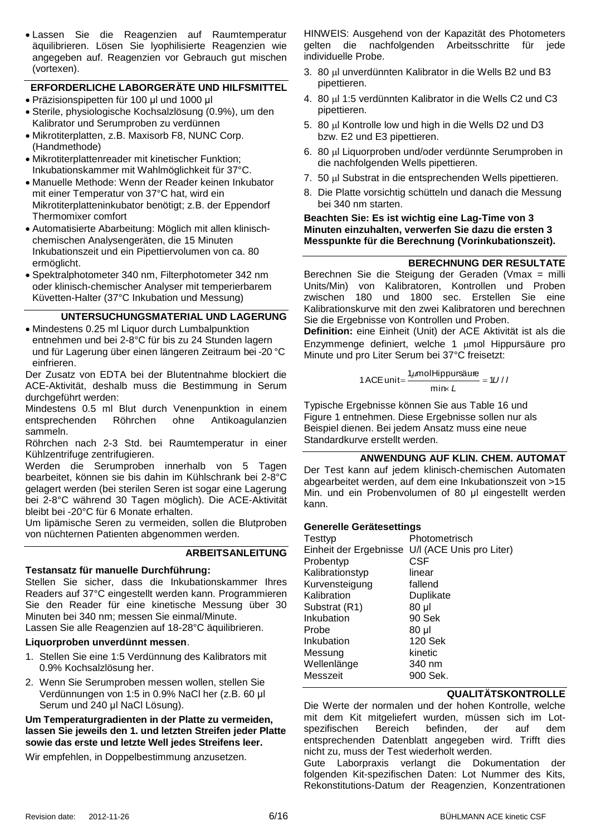Lassen Sie die Reagenzien auf Raumtemperatur äquilibrieren. Lösen Sie lyophilisierte Reagenzien wie angegeben auf. Reagenzien vor Gebrauch gut mischen (vortexen).

# **ERFORDERLICHE LABORGERÄTE UND HILFSMITTEL**

- Präzisionspipetten für 100 μl und 1000 μl
- Sterile, physiologische Kochsalzlösung (0.9%), um den Kalibrator und Serumproben zu verdünnen
- Mikrotiterplatten, z.B. Maxisorb F8, NUNC Corp. (Handmethode)
- Mikrotiterplattenreader mit kinetischer Funktion; Inkubationskammer mit Wahlmöglichkeit für 37°C.
- Manuelle Methode: Wenn der Reader keinen Inkubator mit einer Temperatur von 37°C hat, wird ein Mikrotiterplatteninkubator benötigt; z.B. der Eppendorf Thermomixer comfort
- Automatisierte Abarbeitung: Möglich mit allen klinischchemischen Analysengeräten, die 15 Minuten Inkubationszeit und ein Pipettiervolumen von ca. 80 ermöglicht.
- Spektralphotometer 340 nm, Filterphotometer 342 nm oder klinisch-chemischer Analyser mit temperierbarem Küvetten-Halter (37°C Inkubation und Messung)

# **UNTERSUCHUNGSMATERIAL UND LAGERUNG**

• Mindestens 0.25 ml Liquor durch Lumbalpunktion entnehmen und bei 2-8°C für bis zu 24 Stunden lagern und für Lagerung über einen längeren Zeitraum bei -20 °C einfrieren.

Der Zusatz von EDTA bei der Blutentnahme blockiert die ACE-Aktivität, deshalb muss die Bestimmung in Serum durchgeführt werden:

Mindestens 0.5 ml Blut durch Venenpunktion in einem entsprechenden Röhrchen ohne Antikoagulanzien sammeln.

Röhrchen nach 2-3 Std. bei Raumtemperatur in einer Kühlzentrifuge zentrifugieren.

Werden die Serumproben innerhalb von 5 Tagen bearbeitet, können sie bis dahin im Kühlschrank bei 2-8°C gelagert werden (bei sterilen Seren ist sogar eine Lagerung bei 2-8°C während 30 Tagen möglich). Die ACE-Aktivität bleibt bei -20°C für 6 Monate erhalten.

Um lipämische Seren zu vermeiden, sollen die Blutproben von nüchternen Patienten abgenommen werden.

# **ARBEITSANLEITUNG**

# **Testansatz für manuelle Durchführung:**

Stellen Sie sicher, dass die Inkubationskammer Ihres Readers auf 37°C eingestellt werden kann. Programmieren Sie den Reader für eine kinetische Messung über 30 Minuten bei 340 nm; messen Sie einmal/Minute.

Lassen Sie alle Reagenzien auf 18-28°C äquilibrieren.

# **Liquorproben unverdünnt messen**.

- 1. Stellen Sie eine 1:5 Verdünnung des Kalibrators mit 0.9% Kochsalzlösung her.
- 2. Wenn Sie Serumproben messen wollen, stellen Sie Verdünnungen von 1:5 in 0.9% NaCl her (z.B. 60 μl Serum und 240 μl NaCl Lösung).

# **Um Temperaturgradienten in der Platte zu vermeiden, lassen Sie jeweils den 1. und letzten Streifen jeder Platte sowie das erste und letzte Well jedes Streifens leer.**

Wir empfehlen, in Doppelbestimmung anzusetzen.

HINWEIS: Ausgehend von der Kapazität des Photometers gelten die nachfolgenden Arbeitsschritte für jede individuelle Probe.

- 3. 80 µl unverdünnten Kalibrator in die Wells B2 und B3 pipettieren.
- 4. 80 µ 1:5 verdünnten Kalibrator in die Wells C2 und C3 pipettieren.
- 5. 80 µl Kontrolle low und high in die Wells D2 und D3 bzw. E2 und E3 pipettieren.
- 6. 80 µl Liquorproben und/oder verdünnte Serumproben in die nachfolgenden Wells pipettieren.
- 7. 50 µl Substrat in die entsprechenden Wells pipettieren.
- 8. Die Platte vorsichtig schütteln und danach die Messung bei 340 nm starten.

#### **Beachten Sie: Es ist wichtig eine Lag-Time von 3 Minuten einzuhalten, verwerfen Sie dazu die ersten 3 Messpunkte für die Berechnung (Vorinkubationszeit).**

# **BERECHNUNG DER RESULTATE**

Berechnen Sie die Steigung der Geraden (Vmax = milli Units/Min) von Kalibratoren, Kontrollen und Proben zwischen 180 und 1800 sec. Erstellen Sie eine Kalibrationskurve mit den zwei Kalibratoren und berechnen Sie die Ergebnisse von Kontrollen und Proben.

**Definition:** eine Einheit (Unit) der ACE Aktivität ist als die Enzymmenge definiert, welche 1 umol Hippursäure pro Minute und pro Liter Serum bei 37°C freisetzt:

1 ACE unit = 
$$
\frac{1 \mu \text{mol} \text{Hippursäure}}{\text{min} \times L} = 1U/I
$$

Typische Ergebnisse können Sie aus [Table 16](#page-14-0) und [Figure 1](#page-14-1) entnehmen. Diese Ergebnisse sollen nur als Beispiel dienen. Bei jedem Ansatz muss eine neue Standardkurve erstellt werden.

# **ANWENDUNG AUF KLIN. CHEM. AUTOMAT**

Der Test kann auf jedem klinisch-chemischen Automaten abgearbeitet werden, auf dem eine Inkubationszeit von >15 Min. und ein Probenvolumen of 80 μl eingestellt werden kann.

# **Generelle Gerätesettings**

| Testtyp         | Photometrisch                                   |
|-----------------|-------------------------------------------------|
|                 | Einheit der Ergebnisse U/I (ACE Unis pro Liter) |
| Probentyp       | CSF                                             |
| Kalibrationstyp | linear                                          |
| Kurvensteigung  | fallend                                         |
| Kalibration     | Duplikate                                       |
| Substrat (R1)   | 80 µl                                           |
| Inkubation      | 90 Sek                                          |
| Probe           | 80 µl                                           |
| Inkubation      | <b>120 Sek</b>                                  |
| Messung         | kinetic                                         |
| Wellenlänge     | 340 nm                                          |
| Messzeit        | 900 Sek.                                        |
|                 |                                                 |

# **QUALITÄTSKONTROLLE**

Die Werte der normalen und der hohen Kontrolle, welche mit dem Kit mitgeliefert wurden, müssen sich im Lotspezifischen Bereich befinden, der auf dem entsprechenden Datenblatt angegeben wird. Trifft dies nicht zu, muss der Test wiederholt werden.

Gute Laborpraxis verlangt die Dokumentation der folgenden Kit-spezifischen Daten: Lot Nummer des Kits, Rekonstitutions-Datum der Reagenzien, Konzentrationen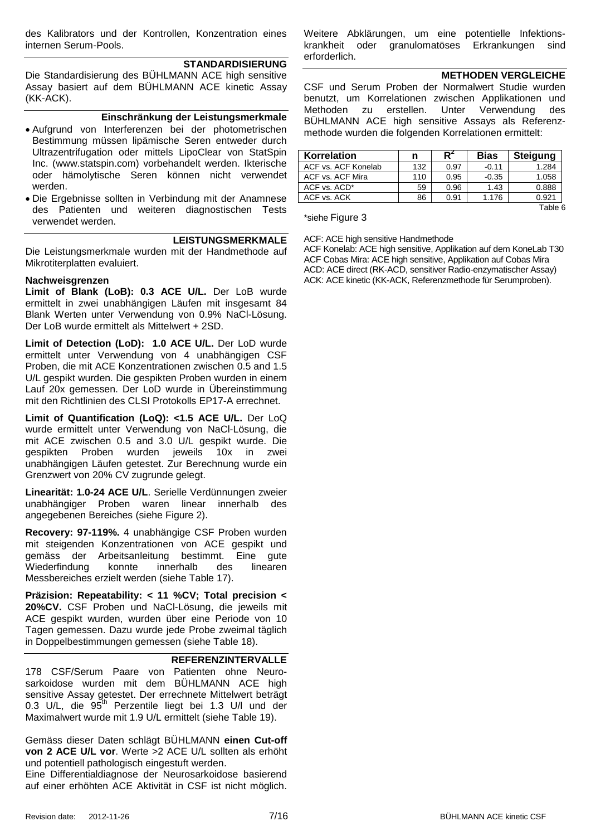des Kalibrators und der Kontrollen, Konzentration eines internen Serum-Pools.

#### **STANDARDISIERUNG**

Die Standardisierung des BÜHLMANN ACE high sensitive Assay basiert auf dem BÜHLMANN ACE kinetic Assay (KK-ACK).

#### **Einschränkung der Leistungsmerkmale**

- Aufgrund von Interferenzen bei der photometrischen Bestimmung müssen lipämische Seren entweder durch Ultrazentrifugation oder mittels LipoClear von StatSpin Inc. (www.statspin.com) vorbehandelt werden. Ikterische oder hämolytische Seren können nicht verwendet werden.
- Die Ergebnisse sollten in Verbindung mit der Anamnese des Patienten und weiteren diagnostischen Tests verwendet werden.

#### **LEISTUNGSMERKMALE**

Die Leistungsmerkmale wurden mit der Handmethode auf Mikrotiterplatten evaluiert.

#### **Nachweisgrenzen**

**Limit of Blank (LoB): 0.3 ACE U/L.** Der LoB wurde ermittelt in zwei unabhängigen Läufen mit insgesamt 84 Blank Werten unter Verwendung von 0.9% NaCl-Lösung. Der LoB wurde ermittelt als Mittelwert + 2SD.

**Limit of Detection (LoD): 1.0 ACE U/L.** Der LoD wurde ermittelt unter Verwendung von 4 unabhängigen CSF Proben, die mit ACE Konzentrationen zwischen 0.5 and 1.5 U/L gespikt wurden. Die gespikten Proben wurden in einem Lauf 20x gemessen. Der LoD wurde in Übereinstimmung mit den Richtlinien des CLSI Protokolls EP17-A errechnet.

**Limit of Quantification (LoQ): <1.5 ACE U/L.** Der LoQ wurde ermittelt unter Verwendung von NaCl-Lösung, die mit ACE zwischen 0.5 and 3.0 U/L gespikt wurde. Die gespikten Proben wurden jeweils 10x in zwei unabhängigen Läufen getestet. Zur Berechnung wurde ein Grenzwert von 20% CV zugrunde gelegt.

**Linearität: 1.0-24 ACE U/L**. Serielle Verdünnungen zweier unabhängiger Proben waren linear innerhalb des angegebenen Bereiches (siehe [Figure 2\)](#page-14-2).

**Recovery: 97-119%.** 4 unabhängige CSF Proben wurden mit steigenden Konzentrationen von ACE gespikt und gemäss der Arbeitsanleitung bestimmt. Eine gute Wiederfindung konnte innerhalb des linearen Messbereiches erzielt werden (siehe [Table 17\)](#page-14-3).

**Präzision: Repeatability: < 11 %CV; Total precision < 20%CV.** CSF Proben und NaCl-Lösung, die jeweils mit ACE gespikt wurden, wurden über eine Periode von 10 Tagen gemessen. Dazu wurde jede Probe zweimal täglich in Doppelbestimmungen gemessen (siehe [Table 18\)](#page-14-4).

#### **REFERENZINTERVALLE**

178 CSF/Serum Paare von Patienten ohne Neurosarkoidose wurden mit dem BÜHLMANN ACE high sensitive Assay getestet. Der errechnete Mittelwert beträgt 0.3 U/L, die 95<sup>th</sup> Perzentile liegt bei 1.3 U/l und der Maximalwert wurde mit 1.9 U/L ermittelt (siehe [Table 19\)](#page-14-5).

Gemäss dieser Daten schlägt BÜHLMANN **einen Cut-off von 2 ACE U/L vor**. Werte >2 ACE U/L sollten als erhöht und potentiell pathologisch eingestuft werden.

Eine Differentialdiagnose der Neurosarkoidose basierend auf einer erhöhten ACE Aktivität in CSF ist nicht möglich.

Weitere Abklärungen, um eine potentielle Infektionskrankheit oder granulomatöses Erkrankungen sind erforderlich.

#### **METHODEN VERGLEICHE**

CSF und Serum Proben der Normalwert Studie wurden benutzt, um Korrelationen zwischen Applikationen und Methoden zu erstellen. Unter Verwendung des BÜHLMANN ACE high sensitive Assays als Referenzmethode wurden die folgenden Korrelationen ermittelt:

| Korrelation         | n   | P٬   | <b>Bias</b> | <b>Steigung</b> |
|---------------------|-----|------|-------------|-----------------|
| ACF vs. ACF Konelab | 132 | 0.97 | $-0.11$     | 1.284           |
| ACF vs. ACF Mira    | 110 | 0.95 | $-0.35$     | 1.058           |
| ACF vs. ACD*        | 59  | 0.96 | 1.43        | 0.888           |
| ACF vs. ACK         | 86  | 0.91 | 1.176       | 0.921           |
|                     |     |      |             | Tahle 6         |

\*siehe [Figure 3](#page-14-6)

ACF: ACE high sensitive Handmethode

ACF Konelab: ACE high sensitive, Applikation auf dem KoneLab T30 ACF Cobas Mira: ACE high sensitive, Applikation auf Cobas Mira ACD: ACE direct (RK-ACD, sensitiver Radio-enzymatischer Assay) ACK: ACE kinetic (KK-ACK, Referenzmethode für Serumproben).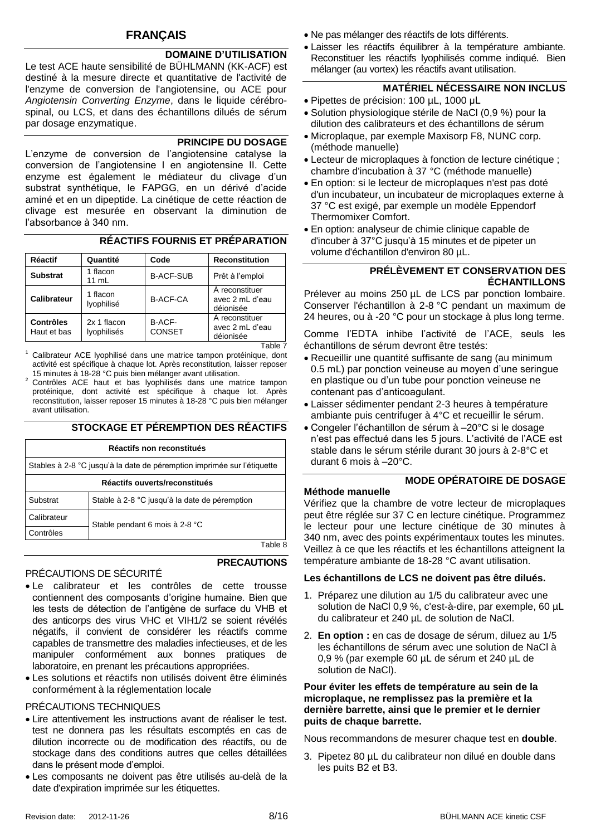# **FRANÇAIS**

# **DOMAINE D'UTILISATION**

Le test ACE haute sensibilité de BÜHLMANN (KK-ACF) est destiné à la mesure directe et quantitative de l'activité de l'enzyme de conversion de l'angiotensine, ou ACE pour *Angiotensin Converting Enzyme*, dans le liquide cérébrospinal, ou LCS, et dans des échantillons dilués de sérum par dosage enzymatique.

# **PRINCIPE DU DOSAGE**

L'enzyme de conversion de l'angiotensine catalyse la conversion de l'angiotensine I en angiotensine II. Cette enzyme est également le médiateur du clivage d'un substrat synthétique, le FAPGG, en un dérivé d'acide aminé et en un dipeptide. La cinétique de cette réaction de clivage est mesurée en observant la diminution de l'absorbance à 340 nm.

## **RÉACTIFS FOURNIS ET PRÉPARATION**

| <b>Réactif</b>                  | Quantité                   | Code                    | <b>Reconstitution</b>                          |
|---------------------------------|----------------------------|-------------------------|------------------------------------------------|
| <b>Substrat</b>                 | 1 flacon<br>11 mL          | <b>B-ACF-SUB</b>        | Prêt à l'emploi                                |
| Calibrateur                     | 1 flacon<br>lyophilisé     | <b>B-ACF-CA</b>         | A reconstituer<br>avec 2 mL d'eau<br>déionisée |
| <b>Contrôles</b><br>Haut et bas | 2x 1 flacon<br>lyophilisés | B-ACF-<br><b>CONSET</b> | A reconstituer<br>avec 2 mL d'eau<br>déionisée |

Table 7

Calibrateur ACE lyophilisé dans une matrice tampon protéinique, dont activité est spécifique à chaque lot. Après reconstitution, laisser reposer 15 minutes à 18-28 °C puis bien mélanger avant utilisation.

<sup>2</sup> Contrôles ACE haut et bas lyophilisés dans une matrice tampon protéinique, dont activité est spécifique à chaque lot. Après reconstitution, laisser reposer 15 minutes à 18-28 °C puis bien mélanger avant utilisation.

#### **STOCKAGE ET PÉREMPTION DES RÉACTIFS**

| Réactifs non reconstitués                                               |                                               |  |
|-------------------------------------------------------------------------|-----------------------------------------------|--|
| Stables à 2-8 °C jusqu'à la date de péremption imprimée sur l'étiquette |                                               |  |
| Réactifs ouverts/reconstitués                                           |                                               |  |
| Substrat                                                                | Stable à 2-8 °C jusqu'à la date de péremption |  |
| Calibrateur                                                             | Stable pendant 6 mois à 2-8 °C                |  |
| Contrôles                                                               |                                               |  |
|                                                                         |                                               |  |

# **PRECAUTIONS**

# PRÉCAUTIONS DE SÉCURITÉ

- Le calibrateur et les contrôles de cette trousse contiennent des composants d'origine humaine. Bien que les tests de détection de l'antigène de surface du VHB et des anticorps des virus VHC et VIH1/2 se soient révélés négatifs, il convient de considérer les réactifs comme capables de transmettre des maladies infectieuses, et de les manipuler conformément aux bonnes pratiques de laboratoire, en prenant les précautions appropriées.
- Les solutions et réactifs non utilisés doivent être éliminés conformément à la réglementation locale

#### PRÉCAUTIONS TECHNIQUES

- Lire attentivement les instructions avant de réaliser le test. test ne donnera pas les résultats escomptés en cas de dilution incorrecte ou de modification des réactifs, ou de stockage dans des conditions autres que celles détaillées dans le présent mode d'emploi.
- Les composants ne doivent pas être utilisés au-delà de la date d'expiration imprimée sur les étiquettes.
- Ne pas mélanger des réactifs de lots différents.
- Laisser les réactifs équilibrer à la température ambiante. Reconstituer les réactifs lyophilisés comme indiqué. Bien mélanger (au vortex) les réactifs avant utilisation.

# **MATÉRIEL NÉCESSAIRE NON INCLUS**

- Pipettes de précision: 100 μL, 1000 μL
- Solution physiologique stérile de NaCl (0,9 %) pour la dilution des calibrateurs et des échantillons de sérum
- Microplaque, par exemple Maxisorp F8, NUNC corp. (méthode manuelle)
- Lecteur de microplaques à fonction de lecture cinétique ; chambre d'incubation à 37 °C (méthode manuelle)
- En option: si le lecteur de microplaques n'est pas doté d'un incubateur, un incubateur de microplaques externe à 37 °C est exigé, par exemple un modèle Eppendorf Thermomixer Comfort.
- En option: analyseur de chimie clinique capable de d'incuber à 37°C jusqu'à 15 minutes et de pipeter un volume d'échantillon d'environ 80 µL.

#### **PRÉLÈVEMENT ET CONSERVATION DES ÉCHANTILLONS**

Prélever au moins 250 µL de LCS par ponction lombaire. Conserver l'échantillon à 2-8 °C pendant un maximum de 24 heures, ou à -20 °C pour un stockage à plus long terme.

Comme l'EDTA inhibe l'activité de l'ACE, seuls les échantillons de sérum devront être testés:

- Recueillir une quantité suffisante de sang (au minimum 0.5 mL) par ponction veineuse au moyen d'une seringue en plastique ou d'un tube pour ponction veineuse ne contenant pas d'anticoagulant.
- Laisser sédimenter pendant 2-3 heures à température ambiante puis centrifuger à 4°C et recueillir le sérum.
- Congeler l'échantillon de sérum à –20°C si le dosage n'est pas effectué dans les 5 jours. L'activité de l'ACE est stable dans le sérum stérile durant 30 jours à 2-8°C et durant 6 mois à –20°C.

# **MODE OPÉRATOIRE DE DOSAGE**

# **Méthode manuelle**

Vérifiez que la chambre de votre lecteur de microplaques peut être réglée sur 37 C en lecture cinétique. Programmez le lecteur pour une lecture cinétique de 30 minutes à 340 nm, avec des points expérimentaux toutes les minutes. Veillez à ce que les réactifs et les échantillons atteignent la température ambiante de 18-28 °C avant utilisation.

#### **Les échantillons de LCS ne doivent pas être dilués.**

- 1. Préparez une dilution au 1/5 du calibrateur avec une solution de NaCl 0,9 %, c'est-à-dire, par exemple, 60 µL du calibrateur et 240 µL de solution de NaCl.
- 2. **En option :** en cas de dosage de sérum, diluez au 1/5 les échantillons de sérum avec une solution de NaCl à 0,9 % (par exemple 60 µL de sérum et 240 µL de solution de NaCl).

#### **Pour éviter les effets de température au sein de la microplaque, ne remplissez pas la première et la dernière barrette, ainsi que le premier et le dernier puits de chaque barrette.**

Nous recommandons de mesurer chaque test en **double**.

3. Pipetez 80 µL du calibrateur non dilué en double dans les puits B2 et B3.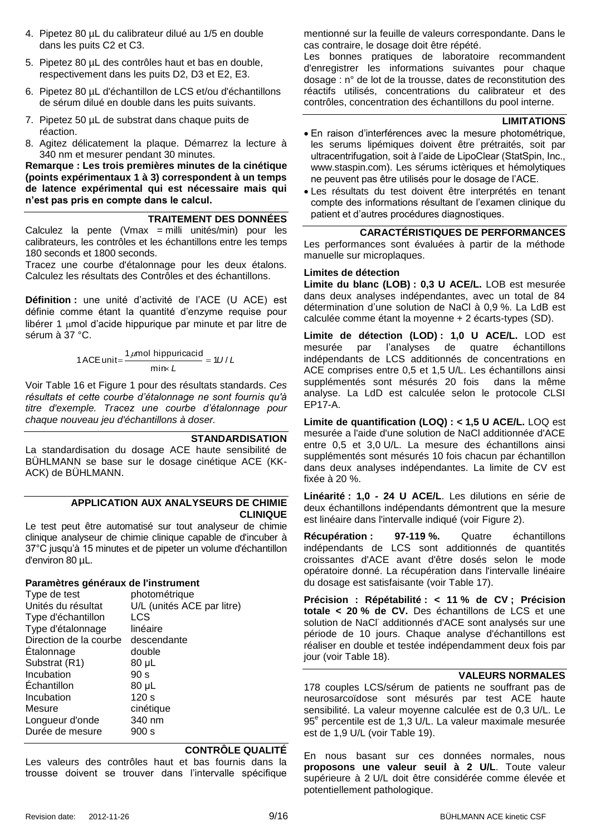- 4. Pipetez 80 µL du calibrateur dilué au 1/5 en double dans les puits C2 et C3.
- 5. Pipetez 80 µL des contrôles haut et bas en double, respectivement dans les puits D2, D3 et E2, E3.
- 6. Pipetez 80 µL d'échantillon de LCS et/ou d'échantillons de sérum dilué en double dans les puits suivants.
- 7. Pipetez 50 µL de substrat dans chaque puits de réaction.
- 8. Agitez délicatement la plaque. Démarrez la lecture à 340 nm et mesurer pendant 30 minutes.

**Remarque : Les trois premières minutes de la cinétique (points expérimentaux 1 à 3) correspondent à un temps de latence expérimental qui est nécessaire mais qui n'est pas pris en compte dans le calcul.** 

#### **TRAITEMENT DES DONNÉES**

Calculez la pente (Vmax = milli unités/min) pour les calibrateurs, les contrôles et les échantillons entre les temps 180 seconds et 1800 seconds.

Tracez une courbe d'étalonnage pour les deux étalons. Calculez les résultats des Contrôles et des échantillons.

**Définition :** une unité d'activité de l'ACE (U ACE) est définie comme étant la quantité d'enzyme requise pour libérer 1  $\mu$ mol d'acide hippurique par minute et par litre de sérum à 37 °C.

1 ACE unit=
$$
\frac{1 \mu mol \text{ hippuricacid}}{\text{min} \kappa L} = 1U/L
$$

Voir [Table 16](#page-14-0) et [Figure 1](#page-14-1) pour des résultats standards. *Ces résultats et cette courbe d'étalonnage ne sont fournis qu'à titre d'exemple. Tracez une courbe d'étalonnage pour chaque nouveau jeu d'échantillons à doser.*

#### **STANDARDISATION**

La standardisation du dosage ACE haute sensibilité de BÜHLMANN se base sur le dosage cinétique ACE (KK-ACK) de BÜHLMANN.

#### **APPLICATION AUX ANALYSEURS DE CHIMIE CLINIQUE**

Le test peut être automatisé sur tout analyseur de chimie clinique analyseur de chimie clinique capable de d'incuber à 37°C jusqu'à 15 minutes et de pipeter un volume d'échantillon d'environ 80 µL.

#### **Paramètres généraux de l'instrument**

| photométrique              |
|----------------------------|
| U/L (unités ACE par litre) |
| LCS                        |
| linéaire                   |
| descendante                |
| double                     |
| 80 µL                      |
| 90 s                       |
| 80 µL                      |
| 120 s                      |
| cinétique                  |
| 340 nm                     |
| 900 s                      |
|                            |

#### **CONTRÔLE QUALITÉ**

Les valeurs des contrôles haut et bas fournis dans la trousse doivent se trouver dans l'intervalle spécifique

mentionné sur la feuille de valeurs correspondante. Dans le cas contraire, le dosage doit être répété.

Les bonnes pratiques de laboratoire recommandent d'enregistrer les informations suivantes pour chaque dosage : n° de lot de la trousse, dates de reconstitution des réactifs utilisés, concentrations du calibrateur et des contrôles, concentration des échantillons du pool interne.

#### **LIMITATIONS**

- En raison d'interférences avec la mesure photométrique, les serums lipémiques doivent être prétraités, soit par ultracentrifugation, soit à l'aide de LipoClear (StatSpin, Inc., www.staspin.com). Les sérums ictèriques et hémolytiques ne peuvent pas être utilisés pour le dosage de l'ACE.
- Les résultats du test doivent être interprétés en tenant compte des informations résultant de l'examen clinique du patient et d'autres procédures diagnostiques.

## **CARACTÉRISTIQUES DE PERFORMANCES**

Les performances sont évaluées à partir de la méthode manuelle sur microplaques.

#### **Limites de détection**

**Limite du blanc (LOB) : 0,3 U ACE/L.** LOB est mesurée dans deux analyses indépendantes, avec un total de 84 détermination d'une solution de NaCl à 0,9 %. La LdB est calculée comme étant la moyenne + 2 écarts-types (SD).

**Limite de détection (LOD) : 1,0 U ACE/L.** LOD est mesurée par l'analyses de quatre échantillons indépendants de LCS additionnés de concentrations en ACE comprises entre 0,5 et 1,5 U/L. Les échantillons ainsi supplémentés sont mésurés 20 fois dans la même analyse. La LdD est calculée selon le protocole CLSI EP17-A.

**Limite de quantification (LOQ) : < 1,5 U ACE/L.** LOQ est mesurée a l'aide d'une solution de NaCl additionnée d'ACE entre 0,5 et 3,0 U/L. La mesure des échantillons ainsi supplémentés sont mésurés 10 fois chacun par échantillon dans deux analyses indépendantes. La limite de CV est fixée à 20 %.

**Linéarité : 1,0 - 24 U ACE/L**. Les dilutions en série de deux échantillons indépendants démontrent que la mesure est linéaire dans l'intervalle indiqué (voir [Figure 2\)](#page-14-2).

**Récupération : 97-119 %.** Quatre échantillons indépendants de LCS sont additionnés de quantités croissantes d'ACE avant d'être dosés selon le mode opératoire donné. La récupération dans l'intervalle linéaire du dosage est satisfaisante (voir [Table 17\)](#page-14-3).

**Précision : Répétabilité : < 11 % de CV ; Précision totale < 20 % de CV.** Des échantillons de LCS et une solution de NaCl additionnés d'ACE sont analysés sur une période de 10 jours. Chaque analyse d'échantillons est réaliser en double et testée indépendamment deux fois par jour (voir [Table 18\)](#page-14-4).

#### **VALEURS NORMALES**

178 couples LCS/sérum de patients ne souffrant pas de neurosarcoïdose sont mésurés par test ACE haute sensibilité. La valeur moyenne calculée est de 0,3 U/L. Le 95<sup>e</sup> percentile est de 1,3 U/L. La valeur maximale mesurée est de 1,9 U/L (voir [Table 19\)](#page-14-5).

En nous basant sur ces données normales, nous **proposons une valeur seuil à 2 U/L**. Toute valeur supérieure à 2 U/L doit être considérée comme élevée et potentiellement pathologique.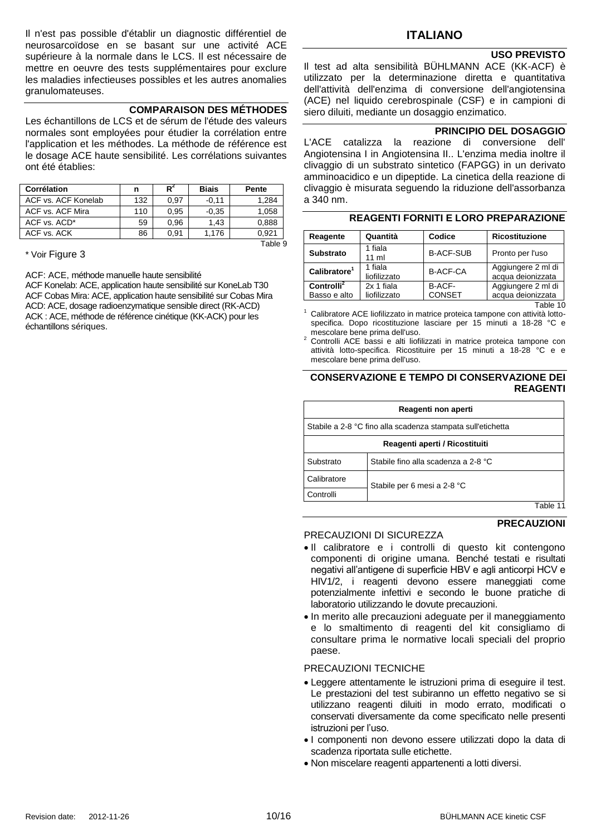Il n'est pas possible d'établir un diagnostic différentiel de neurosarcoïdose en se basant sur une activité ACE supérieure à la normale dans le LCS. Il est nécessaire de mettre en oeuvre des tests supplémentaires pour exclure les maladies infectieuses possibles et les autres anomalies granulomateuses.

#### **COMPARAISON DES MÉTHODES**

Les échantillons de LCS et de sérum de l'étude des valeurs normales sont employées pour étudier la corrélation entre l'application et les méthodes. La méthode de référence est le dosage ACE haute sensibilité. Les corrélations suivantes ont été établies:

| Corrélation         | n   | $R^2$ | Biais   | <b>Pente</b> |
|---------------------|-----|-------|---------|--------------|
| ACF vs. ACF Konelab | 132 | 0.97  | $-0.11$ | 1,284        |
| ACF vs. ACF Mira    | 110 | 0.95  | $-0.35$ | 1,058        |
| ACF vs. ACD*        | 59  | 0.96  | 1.43    | 0,888        |
| ACF vs. ACK         | 86  | 0.91  | 1,176   | 0,921        |
|                     |     |       |         | Table 9      |

\* Voir [Figure 3](#page-14-6)

ACF: ACE, méthode manuelle haute sensibilité

ACF Konelab: ACE, application haute sensibilité sur KoneLab T30 ACF Cobas Mira: ACE, application haute sensibilité sur Cobas Mira ACD: ACE, dosage radioenzymatique sensible direct (RK-ACD) ACK : ACE, méthode de référence cinétique (KK-ACK) pour les échantillons sériques.

# **ITALIANO**

#### **USO PREVISTO**

Il test ad alta sensibilità BÜHLMANN ACE (KK-ACF) è utilizzato per la determinazione diretta e quantitativa dell'attività dell'enzima di conversione dell'angiotensina (ACE) nel liquido cerebrospinale (CSF) e in campioni di siero diluiti, mediante un dosaggio enzimatico.

#### **PRINCIPIO DEL DOSAGGIO**

L'ACE catalizza la reazione di conversione dell' Angiotensina I in Angiotensina II.. L'enzima media inoltre il clivaggio di un substrato sintetico (FAPGG) in un derivato amminoacidico e un dipeptide. La cinetica della reazione di clivaggio è misurata seguendo la riduzione dell'assorbanza a 340 nm.

| Reagente                               | Quantità                   | Codice                  | <b>Ricostituzione</b>                   |
|----------------------------------------|----------------------------|-------------------------|-----------------------------------------|
| <b>Substrato</b>                       | 1 fiala<br>$11 \text{ ml}$ | <b>B-ACF-SUB</b>        | Pronto per l'uso                        |
| Calibratore <sup>1</sup>               | 1 fiala<br>liofilizzato    | <b>B-ACF-CA</b>         | Aggiungere 2 ml di<br>acqua deionizzata |
| Controlli <sup>2</sup><br>Basso e alto | 2x 1 fiala<br>liofilizzato | B-ACF-<br><b>CONSET</b> | Aggiungere 2 ml di<br>acqua deionizzata |

#### **REAGENTI FORNITI E LORO PREPARAZIONE**

Table 10

Calibratore ACE liofilizzato in matrice proteica tampone con attività lottospecifica. Dopo ricostituzione lasciare per 15 minuti a 18-28 °C e mescolare bene prima dell'uso.

<sup>2</sup> Controlli ACE bassi e alti liofilizzati in matrice proteica tampone con attività lotto-specifica. Ricostituire per 15 minuti a 18-28 °C e e mescolare bene prima dell'uso.

#### **CONSERVAZIONE E TEMPO DI CONSERVAZIONE DEI REAGENTI**

|                                                  | Reagenti non aperti                                         |          |  |  |  |
|--------------------------------------------------|-------------------------------------------------------------|----------|--|--|--|
|                                                  | Stabile a 2-8 °C fino alla scadenza stampata sull'etichetta |          |  |  |  |
|                                                  | Reagenti aperti / Ricostituiti                              |          |  |  |  |
| Stabile fino alla scadenza a 2-8 °C<br>Substrato |                                                             |          |  |  |  |
| Calibratore                                      | Stabile per 6 mesi a 2-8 °C                                 |          |  |  |  |
| Controlli                                        |                                                             | Tabla 11 |  |  |  |

Table 11

**PRECAUZIONI**

# PRECAUZIONI DI SICUREZZA

- Il calibratore e i controlli di questo kit contengono componenti di origine umana. Benché testati e risultati negativi all'antigene di superficie HBV e agli anticorpi HCV e HIV1/2, i reagenti devono essere maneggiati come potenzialmente infettivi e secondo le buone pratiche di laboratorio utilizzando le dovute precauzioni.
- In merito alle precauzioni adeguate per il maneggiamento e lo smaltimento di reagenti del kit consigliamo di consultare prima le normative locali speciali del proprio paese.

#### PRECAUZIONI TECNICHE

- Leggere attentamente le istruzioni prima di eseguire il test. Le prestazioni del test subiranno un effetto negativo se si utilizzano reagenti diluiti in modo errato, modificati o conservati diversamente da come specificato nelle presenti istruzioni per l'uso.
- I componenti non devono essere utilizzati dopo la data di scadenza riportata sulle etichette.
- Non miscelare reagenti appartenenti a lotti diversi.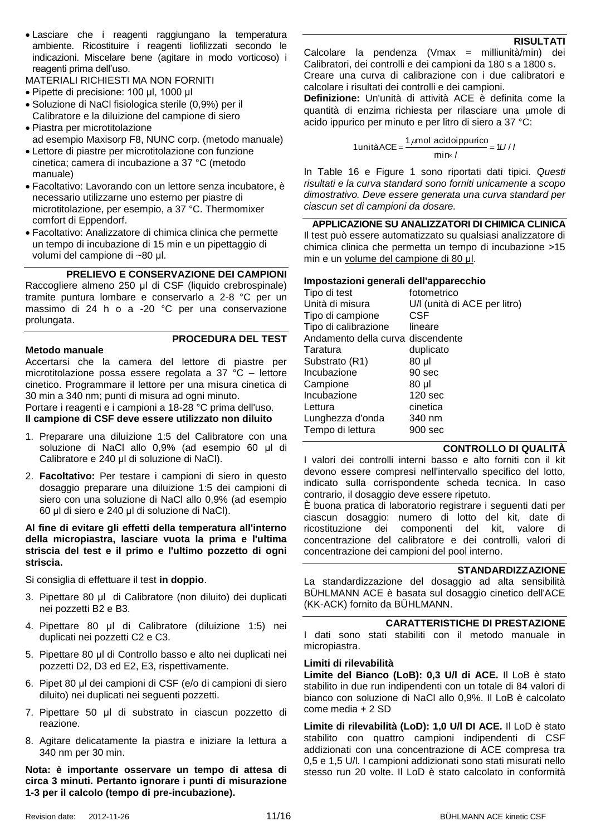Lasciare che i reagenti raggiungano la temperatura ambiente. Ricostituire i reagenti liofilizzati secondo le indicazioni. Miscelare bene (agitare in modo vorticoso) i reagenti prima dell'uso.

MATERIALI RICHIESTI MA NON FORNITI

- Pipette di precisione: 100 μl, 1000 μl
- Soluzione di NaCl fisiologica sterile (0,9%) per il Calibratore e la diluizione del campione di siero
- Piastra per microtitolazione ad esempio Maxisorp F8, NUNC corp. (metodo manuale)
- Lettore di piastre per microtitolazione con funzione cinetica; camera di incubazione a 37 °C (metodo manuale)
- Facoltativo: Lavorando con un lettore senza incubatore, è necessario utilizzarne uno esterno per piastre di microtitolazione, per esempio, a 37 °C. Thermomixer comfort di Eppendorf.
- Facoltativo: Analizzatore di chimica clinica che permette un tempo di incubazione di 15 min e un pipettaggio di volumi del campione di ~80 μl.

# **PRELIEVO E CONSERVAZIONE DEI CAMPIONI**

Raccogliere almeno 250 μl di CSF (liquido crebrospinale) tramite puntura lombare e conservarlo a 2-8 °C per un massimo di 24 h o a -20 °C per una conservazione prolungata.

# **PROCEDURA DEL TEST**

#### **Metodo manuale**

Accertarsi che la camera del lettore di piastre per microtitolazione possa essere regolata a 37 °C – lettore cinetico. Programmare il lettore per una misura cinetica di 30 min a 340 nm; punti di misura ad ogni minuto.

Portare i reagenti e i campioni a 18-28 °C prima dell'uso. **Il campione di CSF deve essere utilizzato non diluito**

- 1. Preparare una diluizione 1:5 del Calibratore con una soluzione di NaCl allo 0,9% (ad esempio 60 μl di Calibratore e 240 μl di soluzione di NaCl).
- 2. **Facoltativo:** Per testare i campioni di siero in questo dosaggio preparare una diluizione 1:5 dei campioni di siero con una soluzione di NaCl allo 0,9% (ad esempio 60 μl di siero e 240 μl di soluzione di NaCl).

#### **Al fine di evitare gli effetti della temperatura all'interno della micropiastra, lasciare vuota la prima e l'ultima striscia del test e il primo e l'ultimo pozzetto di ogni striscia.**

Si consiglia di effettuare il test **in doppio**.

- 3. Pipettare 80 μl di Calibratore (non diluito) dei duplicati nei pozzetti B2 e B3.
- 4. Pipettare 80 μl di Calibratore (diluizione 1:5) nei duplicati nei pozzetti C2 e C3.
- 5. Pipettare 80 μl di Controllo basso e alto nei duplicati nei pozzetti D2, D3 ed E2, E3, rispettivamente.
- 6. Pipet 80 μl dei campioni di CSF (e/o di campioni di siero diluito) nei duplicati nei seguenti pozzetti.
- 7. Pipettare 50 μl di substrato in ciascun pozzetto di reazione.
- 8. Agitare delicatamente la piastra e iniziare la lettura a 340 nm per 30 min.

**Nota: è importante osservare un tempo di attesa di circa 3 minuti. Pertanto ignorare i punti di misurazione 1-3 per il calcolo (tempo di pre-incubazione).**

Calcolare la pendenza (Vmax = milliunità/min) dei Calibratori, dei controlli e dei campioni da 180 s a 1800 s. Creare una curva di calibrazione con i due calibratori e calcolare i risultati dei controlli e dei campioni.

**RISULTATI**

**Definizione:** Un'unità di attività ACE è definita come la quantità di enzima richiesta per rilasciare una umole di acido ippurico per minuto e per litro di siero a 37 °C:

1 unitàACE = 
$$
\frac{1 \mu mol \text{ acidoppurico}}{\text{min} \times I} = 1U/I
$$

In [Table 16](#page-14-0) e [Figure 1](#page-14-1) sono riportati dati tipici. *Questi risultati e la curva standard sono forniti unicamente a scopo dimostrativo. Deve essere generata una curva standard per ciascun set di campioni da dosare.*

**APPLICAZIONE SU ANALIZZATORI DI CHIMICA CLINICA** Il test può essere automatizzato su qualsiasi analizzatore di chimica clinica che permetta un tempo di incubazione >15 min e un volume del campione di 80 μl.

#### **Impostazioni generali dell'apparecchio**

| Tipo di test                      | fotometrico                  |
|-----------------------------------|------------------------------|
| Unità di misura                   | U/I (unità di ACE per litro) |
| Tipo di campione                  | CSF                          |
| Tipo di calibrazione              | lineare                      |
| Andamento della curva discendente |                              |
| Taratura                          | duplicato                    |
| Substrato (R1)                    | 80 µl                        |
| Incubazione                       | 90 sec                       |
| Campione                          | 80 µl                        |
| Incubazione                       | 120 <sub>sec</sub>           |
| Lettura                           | cinetica                     |
| Lunghezza d'onda                  | 340 nm                       |
| Tempo di lettura                  | 900 sec                      |
|                                   |                              |

#### **CONTROLLO DI QUALITÀ**

I valori dei controlli interni basso e alto forniti con il kit devono essere compresi nell'intervallo specifico del lotto, indicato sulla corrispondente scheda tecnica. In caso contrario, il dosaggio deve essere ripetuto.

È buona pratica di laboratorio registrare i seguenti dati per ciascun dosaggio: numero di lotto del kit, date di ricostituzione dei componenti del kit, valore di concentrazione del calibratore e dei controlli, valori di concentrazione dei campioni del pool interno.

#### **STANDARDIZZAZIONE**

La standardizzazione del dosaggio ad alta sensibilità BÜHLMANN ACE è basata sul dosaggio cinetico dell'ACE (KK-ACK) fornito da BÜHLMANN.

#### **CARATTERISTICHE DI PRESTAZIONE**

I dati sono stati stabiliti con il metodo manuale in micropiastra.

#### **Limiti di rilevabilità**

**Limite del Bianco (LoB): 0,3 U/l di ACE.** Il LoB è stato stabilito in due run indipendenti con un totale di 84 valori di bianco con soluzione di NaCl allo 0,9%. Il LoB è calcolato come media + 2 SD

**Limite di rilevabilità (LoD): 1,0 U/l DI ACE.** Il LoD è stato stabilito con quattro campioni indipendenti di CSF addizionati con una concentrazione di ACE compresa tra 0,5 e 1,5 U/l. I campioni addizionati sono stati misurati nello stesso run 20 volte. Il LoD è stato calcolato in conformità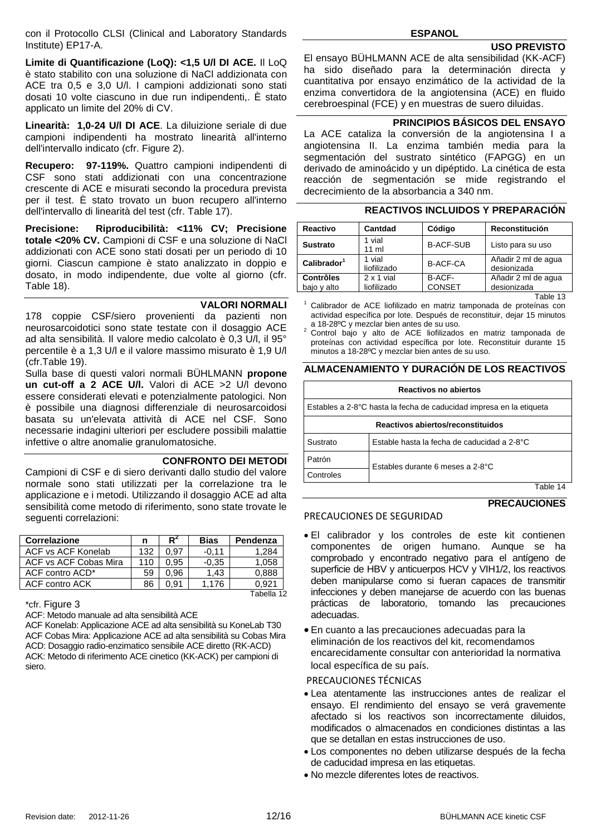con il Protocollo CLSI (Clinical and Laboratory Standards Institute) EP17-A.

**Limite di Quantificazione (LoQ): <1,5 U/l DI ACE.** Il LoQ è stato stabilito con una soluzione di NaCl addizionata con ACE tra 0,5 e 3,0 U/l. I campioni addizionati sono stati dosati 10 volte ciascuno in due run indipendenti,. È stato applicato un limite del 20% di CV.

**Linearità: 1,0-24 U/l DI ACE**. La diluizione seriale di due campioni indipendenti ha mostrato linearità all'interno dell'intervallo indicato (cfr. [Figure 2\)](#page-14-2).

**Recupero: 97-119%.** Quattro campioni indipendenti di CSF sono stati addizionati con una concentrazione crescente di ACE e misurati secondo la procedura prevista per il test. È stato trovato un buon recupero all'interno dell'intervallo di linearità del test (cfr. [Table 17\)](#page-14-3).

**Precisione: Riproducibilità: <11% CV; Precisione totale <20% CV.** Campioni di CSF e una soluzione di NaCl addizionati con ACE sono stati dosati per un periodo di 10 giorni. Ciascun campione è stato analizzato in doppio e dosato, in modo indipendente, due volte al giorno (cfr. [Table 18\)](#page-14-4).

#### **VALORI NORMALI**

178 coppie CSF/siero provenienti da pazienti non neurosarcoidotici sono state testate con il dosaggio ACE ad alta sensibilità. Il valore medio calcolato è 0,3 U/l, il 95° percentile è a 1,3 U/l e il valore massimo misurato è 1,9 U/l (cf[r.Table 19\)](#page-14-5).

Sulla base di questi valori normali BÜHLMANN **propone un cut-off a 2 ACE U/l.** Valori di ACE >2 U/l devono essere considerati elevati e potenzialmente patologici. Non è possibile una diagnosi differenziale di neurosarcoidosi basata su un'elevata attività di ACE nel CSF. Sono necessarie indagini ulteriori per escludere possibili malattie infettive o altre anomalie granulomatosiche.

#### **CONFRONTO DEI METODI**

Campioni di CSF e di siero derivanti dallo studio del valore normale sono stati utilizzati per la correlazione tra le applicazione e i metodi. Utilizzando il dosaggio ACE ad alta sensibilità come metodo di riferimento, sono state trovate le seguenti correlazioni:

| <b>Correlazione</b>   | n   | R    | <b>Bias</b> | Pendenza   |
|-----------------------|-----|------|-------------|------------|
| ACF vs ACF Konelab    | 132 | 0.97 | $-0.11$     | 1.284      |
| ACF vs ACF Cobas Mira | 110 | 0.95 | $-0.35$     | 1.058      |
| ACF contro ACD*       | 59  | 0.96 | 1.43        | 0,888      |
| <b>ACF</b> contro ACK | 86  | 0.91 | 1.176       | 0.921      |
|                       |     |      |             | Tabella 12 |

\*cfr. [Figure 3](#page-14-6)

ACF: Metodo manuale ad alta sensibilità ACE

ACF Konelab: Applicazione ACE ad alta sensibilità su KoneLab T30 ACF Cobas Mira: Applicazione ACE ad alta sensibilità su Cobas Mira ACD: Dosaggio radio-enzimatico sensibile ACE diretto (RK-ACD) ACK: Metodo di riferimento ACE cinetico (KK-ACK) per campioni di siero.

#### **USO PREVISTO**

El ensayo BÜHLMANN ACE de alta sensibilidad (KK-ACF) ha sido diseñado para la determinación directa y cuantitativa por ensayo enzimático de la actividad de la enzima convertidora de la angiotensina (ACE) en fluido cerebroespinal (FCE) y en muestras de suero diluidas.

#### **PRINCIPIOS BÁSICOS DEL ENSAYO**

La ACE cataliza la conversión de la angiotensina I a angiotensina II. La enzima también media para la segmentación del sustrato sintético (FAPGG) en un derivado de aminoácido y un dipéptido. La cinética de esta reacción de segmentación se mide registrando el decrecimiento de la absorbancia a 340 nm.

# **REACTIVOS INCLUIDOS Y PREPARACIÓN**

| Reactivo                        | Cantdad                          | Código                  | Reconstitución                     |
|---------------------------------|----------------------------------|-------------------------|------------------------------------|
| <b>Sustrato</b>                 | 1 vial<br>$11$ ml                | <b>B-ACF-SUB</b>        | Listo para su uso                  |
| Calibrador <sup>1</sup>         | 1 vial<br>liofilizado            | <b>B-ACF-CA</b>         | Añadir 2 ml de agua<br>desionizada |
| <b>Contrôles</b><br>baio y alto | $2 \times 1$ vial<br>liofilizado | B-ACF-<br><b>CONSET</b> | Añadir 2 ml de agua<br>desionizada |

Table 13

Calibrador de ACE liofilizado en matriz tamponada de proteínas con actividad específica por lote. Después de reconstituir, dejar 15 minutos

#### **ALMACENAMIENTO Y DURACIÓN DE LOS REACTIVOS**

|                                                                     | <b>Reactivos no abiertos</b>                |  |  |  |  |
|---------------------------------------------------------------------|---------------------------------------------|--|--|--|--|
| Estables a 2-8°C hasta la fecha de caducidad impresa en la etiqueta |                                             |  |  |  |  |
|                                                                     | Reactivos abiertos/reconstituidos           |  |  |  |  |
| Sustrato                                                            | Estable hasta la fecha de caducidad a 2-8°C |  |  |  |  |
| Patrón<br>Estables durante 6 meses a 2-8°C                          |                                             |  |  |  |  |
| Controles                                                           |                                             |  |  |  |  |

Table 14

#### **PRECAUCIONES**

#### PRECAUCIONES DE SEGURIDAD

- El calibrador y los controles de este kit contienen componentes de origen humano. Aunque se ha comprobado y encontrado negativo para el antígeno de superficie de HBV y anticuerpos HCV y VIH1/2, los reactivos deben manipularse como si fueran capaces de transmitir infecciones y deben manejarse de acuerdo con las buenas prácticas de laboratorio, tomando las precauciones adecuadas.
- En cuanto a las precauciones adecuadas para la eliminación de los reactivos del kit, recomendamos encarecidamente consultar con anterioridad la normativa local específica de su país.

# PRECAUCIONES TÉCNICAS

- Lea atentamente las instrucciones antes de realizar el ensayo. El rendimiento del ensayo se verá gravemente afectado si los reactivos son incorrectamente diluidos, modificados o almacenados en condiciones distintas a las que se detallan en estas instrucciones de uso.
- Los componentes no deben utilizarse después de la fecha de caducidad impresa en las etiquetas.
- No mezcle diferentes lotes de reactivos.

a 18-28ºC y mezclar bien antes de su uso. <sup>2</sup> Control bajo y alto de ACE liofilizados en matriz tamponada de proteínas con actividad específica por lote. Reconstituir durante 15 minutos a 18-28ºC y mezclar bien antes de su uso.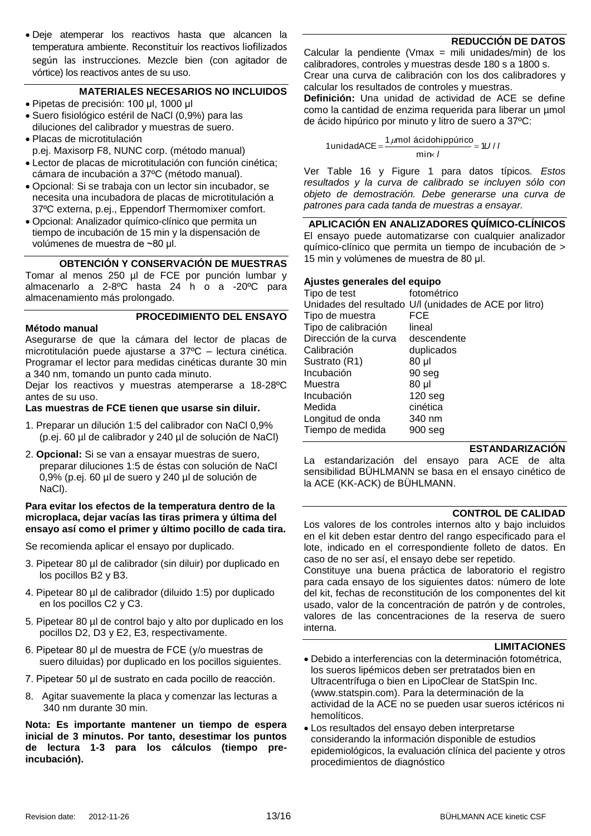Deje atemperar los reactivos hasta que alcancen la temperatura ambiente. Reconstituir los reactivos liofilizados según las instrucciones. Mezcle bien (con agitador de vórtice) los reactivos antes de su uso.

# **MATERIALES NECESARIOS NO INCLUIDOS**

- Pipetas de precisión: 100 μl, 1000 μl
- Suero fisiológico estéril de NaCl (0,9%) para las diluciones del calibrador y muestras de suero.
- Placas de microtitulación
- p.ej. Maxisorp F8, NUNC corp. (método manual) Lector de placas de microtitulación con función cinética;
- cámara de incubación a 37ºC (método manual). Opcional: Si se trabaja con un lector sin incubador, se necesita una incubadora de placas de microtitulación a
- 37ºC externa, p.ej., Eppendorf Thermomixer comfort. Opcional: Analizador químico-clínico que permita un tiempo de incubación de 15 min y la dispensación de volúmenes de muestra de ~80 μl.

# **OBTENCIÓN Y CONSERVACIÓN DE MUESTRAS**

**PROCEDIMIENTO DEL ENSAYO**

Tomar al menos 250 µl de FCE por punción lumbar y almacenarlo a 2-8ºC hasta 24 h o a -20ºC para almacenamiento más prolongado.

## **Método manual**

Asegurarse de que la cámara del lector de placas de microtitulación puede ajustarse a 37ºC – lectura cinética. Programar el lector para medidas cinéticas durante 30 min a 340 nm, tomando un punto cada minuto.

Dejar los reactivos y muestras atemperarse a 18-28ºC antes de su uso.

## **Las muestras de FCE tienen que usarse sin diluir.**

- 1. Preparar un dilución 1:5 del calibrador con NaCl 0,9% (p.ej. 60 µl de calibrador y 240 µl de solución de NaCl)
- 2. **Opcional:** Si se van a ensayar muestras de suero, preparar diluciones 1:5 de éstas con solución de NaCl 0,9% (p.ej. 60 µl de suero y 240 µl de solución de NaCl).

#### **Para evitar los efectos de la temperatura dentro de la microplaca, dejar vacías las tiras primera y última del ensayo así como el primer y último pocillo de cada tira.**

Se recomienda aplicar el ensayo por duplicado.

- 3. Pipetear 80 µl de calibrador (sin diluir) por duplicado en los pocillos B2 y B3.
- 4. Pipetear 80 µl de calibrador (diluido 1:5) por duplicado en los pocillos C2 y C3.
- 5. Pipetear 80 µl de control bajo y alto por duplicado en los pocillos D2, D3 y E2, E3, respectivamente.
- 6. Pipetear 80 μl de muestra de FCE (y/o muestras de suero diluidas) por duplicado en los pocillos siguientes.
- 7. Pipetear 50 μl de sustrato en cada pocillo de reacción.
- 8. Agitar suavemente la placa y comenzar las lecturas a 340 nm durante 30 min.

**Nota: Es importante mantener un tiempo de espera inicial de 3 minutos. Por tanto, desestimar los puntos de lectura 1-3 para los cálculos (tiempo preincubación).**

Calcular la pendiente (Vmax = mili unidades/min) de los calibradores, controles y muestras desde 180 s a 1800 s. Crear una curva de calibración con los dos calibradores y calcular los resultados de controles y muestras.

**Definición:** Una unidad de actividad de ACE se define como la cantidad de enzima requerida para liberar un µmol de ácido hipúrico por minuto y litro de suero a 37ºC:

$$
1 \text{unidadACE} = \frac{1 \mu \text{mol} \text{ ácidohippúrico}}{\text{min} \times I} = 1 \frac{1 \mu \text{mol} \cdot \text{m} \cdot \text{m} \cdot \text{m} \cdot \text{m}}{1 \cdot \text{m} \cdot \text{m} \cdot \text{m} \cdot \text{m} \cdot \text{m} \cdot \text{m} \cdot \text{m} \cdot \text{m} \cdot \text{m} \cdot \text{m} \cdot \text{m} \cdot \text{m} \cdot \text{m} \cdot \text{m} \cdot \text{m} \cdot \text{m} \cdot \text{m} \cdot \text{m} \cdot \text{m} \cdot \text{m} \cdot \text{m} \cdot \text{m} \cdot \text{m} \cdot \text{m} \cdot \text{m} \cdot \text{m} \cdot \text{m} \cdot \text{m} \cdot \text{m} \cdot \text{m} \cdot \text{m} \cdot \text{m} \cdot \text{m} \cdot \text{m} \cdot \text{m} \cdot \text{m} \cdot \text{m} \cdot \text{m} \cdot \text{m} \cdot \text{m} \cdot \text{m} \cdot \text{m} \cdot \text{m} \cdot \text{m} \cdot \text{m} \cdot \text{m} \cdot \text{m} \cdot \text{m} \cdot \text{m} \cdot \text{m} \cdot \text{m} \cdot \text{m} \cdot \text{m} \cdot \text{m} \cdot \text{m} \cdot \text{m} \cdot \text{m} \cdot \text{m} \cdot \text{m} \cdot \text{m} \cdot \text{m} \cdot \text{m} \cdot \text{m} \cdot \text{m} \cdot \text{m} \cdot \text{m} \cdot \text{m} \cdot \text{m} \cdot \text{m} \cdot \text{m} \cdot \text{m} \cdot \text{m} \cdot \text{m} \cdot \text{m} \cdot \text{m} \cdot \text{m} \cdot \text{m} \cdot \text{m} \cdot \text{m} \cdot \text{m} \cdot \text{m} \cdot \text{m} \cdot \text{m} \cdot \text{m} \cdot \text{m} \cdot \text{m} \cdot \text{m} \cdot \text{m} \cdot \text{m} \cdot \text{m} \cdot \text{m} \cdot \text{m} \cdot \text{m} \cdot \text{m} \cdot \text{m} \cdot \text{m} \cdot \text
$$

Ver [Table 16](#page-14-0) y [Figure 1](#page-14-1) para datos típicos*. Estos resultados y la curva de calibrado se incluyen sólo con objeto de demostración. Debe generarse una curva de patrones para cada tanda de muestras a ensayar.*

**APLICACIÓN EN ANALIZADORES QUÍMICO-CLÍNICOS** El ensayo puede automatizarse con cualquier analizador químico-clínico que permita un tiempo de incubación de > 15 min y volúmenes de muestra de 80 μl.

# **Ajustes generales del equipo**

| Tipo de test          | fotométrico                                            |
|-----------------------|--------------------------------------------------------|
|                       | Unidades del resultado U/I (unidades de ACE por litro) |
| Tipo de muestra       | FCE                                                    |
| Tipo de calibración   | lineal                                                 |
| Dirección de la curva | descendente                                            |
| Calibración           | duplicados                                             |
| Sustrato (R1)         | 80 µl                                                  |
| Incubación            | 90 seg                                                 |
| Muestra               | 80 µl                                                  |
| Incubación            | $120$ seg                                              |
| Medida                | cinética                                               |
| Longitud de onda      | 340 nm                                                 |
| Tiempo de medida      | $900$ seg                                              |
|                       |                                                        |

# **ESTANDARIZACIÓN**

La estandarización del ensayo para ACE de alta sensibilidad BÜHLMANN se basa en el ensayo cinético de la ACE (KK-ACK) de BÜHLMANN.

# **CONTROL DE CALIDAD**

Los valores de los controles internos alto y bajo incluidos en el kit deben estar dentro del rango especificado para el lote, indicado en el correspondiente folleto de datos. En caso de no ser así, el ensayo debe ser repetido.

Constituye una buena práctica de laboratorio el registro para cada ensayo de los siguientes datos: número de lote del kit, fechas de reconstitución de los componentes del kit usado, valor de la concentración de patrón y de controles, valores de las concentraciones de la reserva de suero interna.

# **LIMITACIONES**

- Debido a interferencias con la determinación fotométrica, los sueros lipémicos deben ser pretratados bien en Ultracentrífuga o bien en LipoClear de StatSpin Inc. (www.statspin.com). Para la determinación de la actividad de la ACE no se pueden usar sueros ictéricos ni hemolíticos.
- Los resultados del ensayo deben interpretarse considerando la información disponible de estudios epidemiológicos, la evaluación clínica del paciente y otros procedimientos de diagnóstico

# **REDUCCIÓN DE DATOS**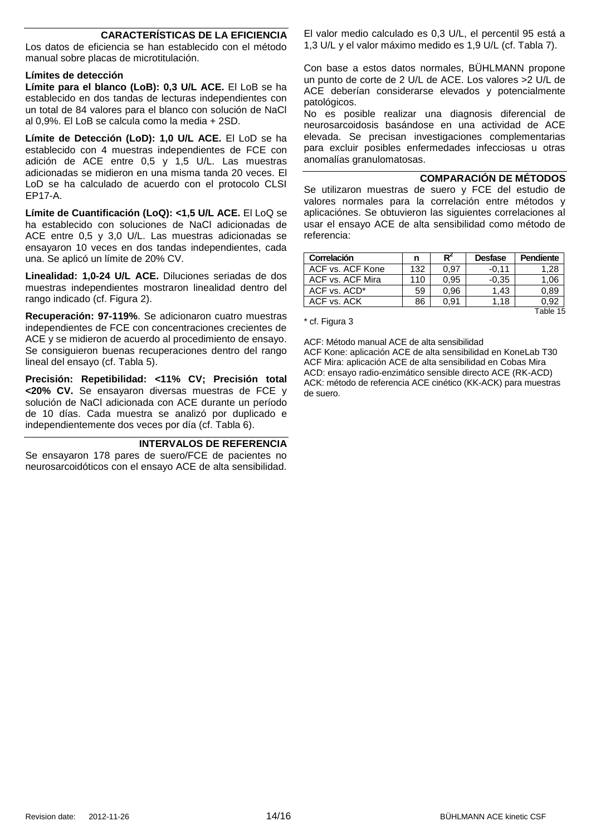# **CARACTERÍSTICAS DE LA EFICIENCIA**

Los datos de eficiencia se han establecido con el método manual sobre placas de microtitulación.

#### **Límites de detección**

**Límite para el blanco (LoB): 0,3 U/L ACE.** El LoB se ha establecido en dos tandas de lecturas independientes con un total de 84 valores para el blanco con solución de NaCl al 0,9%. El LoB se calcula como la media + 2SD.

**Límite de Detección (LoD): 1,0 U/L ACE.** El LoD se ha establecido con 4 muestras independientes de FCE con adición de ACE entre 0,5 y 1,5 U/L. Las muestras adicionadas se midieron en una misma tanda 20 veces. El LoD se ha calculado de acuerdo con el protocolo CLSI EP17-A.

**Límite de Cuantificación (LoQ): <1,5 U/L ACE.** El LoQ se ha establecido con soluciones de NaCl adicionadas de ACE entre 0,5 y 3,0 U/L. Las muestras adicionadas se ensayaron 10 veces en dos tandas independientes, cada una. Se aplicó un límite de 20% CV.

**Linealidad: 1,0-24 U/L ACE.** Diluciones seriadas de dos muestras independientes mostraron linealidad dentro del rango indicado (cf. Figura 2).

**Recuperación: 97-119%**. Se adicionaron cuatro muestras independientes de FCE con concentraciones crecientes de ACE y se midieron de acuerdo al procedimiento de ensayo. Se consiguieron buenas recuperaciones dentro del rango lineal del ensayo (cf. Tabla 5).

**Precisión: Repetibilidad: <11% CV; Precisión total <20% CV.** Se ensayaron diversas muestras de FCE y solución de NaCl adicionada con ACE durante un período de 10 días. Cada muestra se analizó por duplicado e independientemente dos veces por día (cf. Tabla 6).

#### **INTERVALOS DE REFERENCIA**

Se ensayaron 178 pares de suero/FCE de pacientes no neurosarcoidóticos con el ensayo ACE de alta sensibilidad.

El valor medio calculado es 0,3 U/L, el percentil 95 está a 1,3 U/L y el valor máximo medido es 1,9 U/L (cf. Tabla 7).

Con base a estos datos normales, BÜHLMANN propone un punto de corte de 2 U/L de ACE. Los valores >2 U/L de ACE deberían considerarse elevados y potencialmente patológicos.

No es posible realizar una diagnosis diferencial de neurosarcoidosis basándose en una actividad de ACE elevada. Se precisan investigaciones complementarias para excluir posibles enfermedades infecciosas u otras anomalías granulomatosas.

**COMPARACIÓN DE MÉTODOS**

Se utilizaron muestras de suero y FCE del estudio de valores normales para la correlación entre métodos y aplicaciónes. Se obtuvieron las siguientes correlaciones al usar el ensayo ACE de alta sensibilidad como método de referencia:

| Correlación      | n   |      | <b>Desfase</b> | Pendiente |
|------------------|-----|------|----------------|-----------|
| ACF vs. ACF Kone | 132 | 0.97 | $-0.11$        | 1.28      |
| ACF vs. ACF Mira | 110 | 0.95 | $-0.35$        | 1.06      |
| ACF vs. ACD*     | 59  | 0.96 | 1.43           | 0.89      |
| ACF vs. ACK      | 86  | 0.91 | 1.18           | 0.92      |
|                  |     |      |                | ™able     |

\* cf. Figura 3

ACF: Método manual ACE de alta sensibilidad ACF Kone: aplicación ACE de alta sensibilidad en KoneLab T30 ACF Mira: aplicación ACE de alta sensibilidad en Cobas Mira ACD: ensayo radio-enzimático sensible directo ACE (RK-ACD) ACK: método de referencia ACE cinético (KK-ACK) para muestras de suero.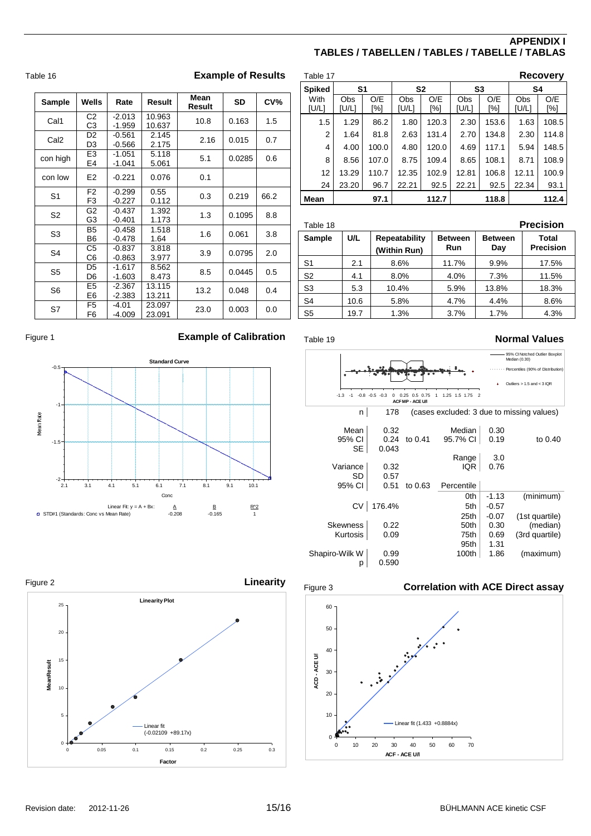# **APPENDIX I TABLES / TABELLEN / TABLES / TABELLE / TABLAS**

<span id="page-14-3"></span>

| Table 17       |              |            |                |            |                |            |              | <b>Recovery</b> |
|----------------|--------------|------------|----------------|------------|----------------|------------|--------------|-----------------|
| <b>Spiked</b>  | S1           |            | S <sub>2</sub> |            | S <sub>3</sub> |            | S4           |                 |
| With<br>[U/L]  | Obs<br>[U/L] | O/E<br>[%] | Obs<br>[U/L]   | O/E<br>[%] | Obs<br>[U/L]   | O/E<br>[%] | Obs<br>[U/L] | O/E<br>[%]      |
| 1.5            | 1.29         | 86.2       | 1.80           | 120.3      | 2.30           | 153.6      | 1.63         | 108.5           |
| 2              | 1.64         | 81.8       | 2.63           | 131.4      | 2.70           | 134.8      | 2.30         | 114.8           |
| $\overline{4}$ | 4.00         | 100.0      | 4.80           | 120.0      | 4.69           | 117.1      | 5.94         | 148.5           |
| 8              | 8.56         | 107.0      | 8.75           | 109.4      | 8.65           | 108.1      | 8.71         | 108.9           |
| 12             | 13.29        | 110.7      | 12.35          | 102.9      | 12.81          | 106.8      | 12.11        | 100.9           |
| 24             | 23.20        | 96.7       | 22.21          | 92.5       | 22.21          | 92.5       | 22.34        | 93.1            |
| Mean           |              | 97.1       |                | 112.7      |                | 118.8      |              | 112.4           |

<span id="page-14-4"></span>

| Table 18       |      |                               |                       |                       | <b>Precision</b>          |
|----------------|------|-------------------------------|-----------------------|-----------------------|---------------------------|
| <b>Sample</b>  | U/L  | Repeatability<br>(Within Run) | <b>Between</b><br>Run | <b>Between</b><br>Day | Total<br><b>Precision</b> |
| S <sub>1</sub> | 2.1  | 8.6%                          | 11.7%                 | 9.9%                  | 17.5%                     |
| S <sub>2</sub> | 4.1  | 8.0%                          | 4.0%                  | 7.3%                  | 11.5%                     |
| S <sub>3</sub> | 5.3  | 10.4%                         | 5.9%                  | 13.8%                 | 18.3%                     |
| S <sub>4</sub> | 10.6 | 5.8%                          | 4.7%                  | 4.4%                  | 8.6%                      |
| S <sub>5</sub> | 19.7 | 1.3%                          | 3.7%                  | 1.7%                  | 4.3%                      |



<span id="page-14-5"></span>



<span id="page-14-6"></span>

<span id="page-14-0"></span>

|                  |                                  |                      |                  | Mean   |           |                 |
|------------------|----------------------------------|----------------------|------------------|--------|-----------|-----------------|
| Sample           | Wells                            | Rate                 | Result           | Result | <b>SD</b> | CV <sub>0</sub> |
| Cal1             | C <sub>2</sub><br>C <sub>3</sub> | $-2.013$<br>$-1.959$ | 10.963<br>10.637 | 10.8   | 0.163     | 1.5             |
| Cal <sub>2</sub> | D <sub>2</sub><br>D <sub>3</sub> | $-0.561$<br>$-0.566$ | 2.145<br>2.175   | 2.16   | 0.015     | 0.7             |
| con high         | E3<br>E4                         | $-1.051$<br>$-1.041$ | 5.118<br>5.061   | 5.1    | 0.0285    | 0.6             |
| con low          | E <sub>2</sub>                   | $-0.221$             | 0.076            | 0.1    |           |                 |
| S <sub>1</sub>   | F <sub>2</sub><br>F <sub>3</sub> | $-0.299$<br>$-0.227$ | 0.55<br>0.112    | 0.3    | 0.219     | 66.2            |
| S <sub>2</sub>   | G <sub>2</sub><br>G3             | $-0.437$<br>$-0.401$ | 1.392<br>1.173   | 1.3    | 0.1095    | 8.8             |
| S <sub>3</sub>   | B <sub>5</sub><br>B6             | $-0.458$<br>$-0.478$ | 1.518<br>1.64    | 1.6    | 0.061     | 3.8             |
| S <sub>4</sub>   | C5<br>C6                         | $-0.837$<br>$-0.863$ | 3.818<br>3.977   | 3.9    | 0.0795    | 2.0             |
| S <sub>5</sub>   | D <sub>5</sub><br>D <sub>6</sub> | $-1.617$<br>$-1.603$ | 8.562<br>8.473   | 8.5    | 0.0445    | 0.5             |
| S6               | E5<br>E6                         | $-2.367$<br>$-2.383$ | 13.115<br>13.211 | 13.2   | 0.048     | 0.4             |
| S7               | F5<br>F <sub>6</sub>             | -4.01<br>$-4.009$    | 23.097<br>23.091 | 23.0   | 0.003     | 0.0             |

<span id="page-14-1"></span>



<span id="page-14-2"></span>